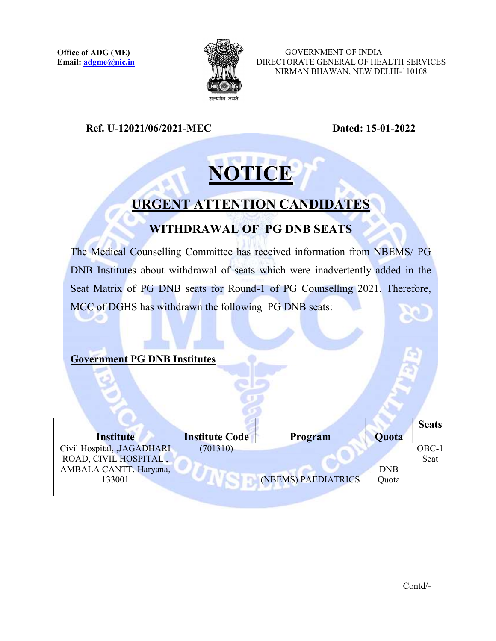

 GOVERNMENT OF INDIA DIRECTORATE GENERAL OF HEALTH SERVICES NIRMAN BHAWAN, NEW DELHI-110108

Ref. U-12021/06/2021-MEC Dated: 15-01-2022

# **NOTICE**

## URGENT ATTENTION CANDIDATES

## WITHDRAWAL OF PG DNB SEATS

The Medical Counselling Committee has received information from NBEMS/ PG DNB Institutes about withdrawal of seats which were inadvertently added in the Seat Matrix of PG DNB seats for Round-1 of PG Counselling 2021. Therefore, MCC of DGHS has withdrawn the following PG DNB seats:

#### Government PG DNB Institutes

|                             |                       |                     |            | <b>Seats</b> |
|-----------------------------|-----------------------|---------------------|------------|--------------|
| Institute                   | <b>Institute Code</b> | Program             | Quota      |              |
| Civil Hospital, , JAGADHARI | (701310)              |                     |            | OBC-1        |
| ROAD, CIVIL HOSPITAL,       |                       |                     |            | Seat         |
| AMBALA CANTT, Haryana,      |                       |                     | <b>DNB</b> |              |
| 133001                      |                       | (NBEMS) PAEDIATRICS | Quota      |              |
|                             |                       |                     |            |              |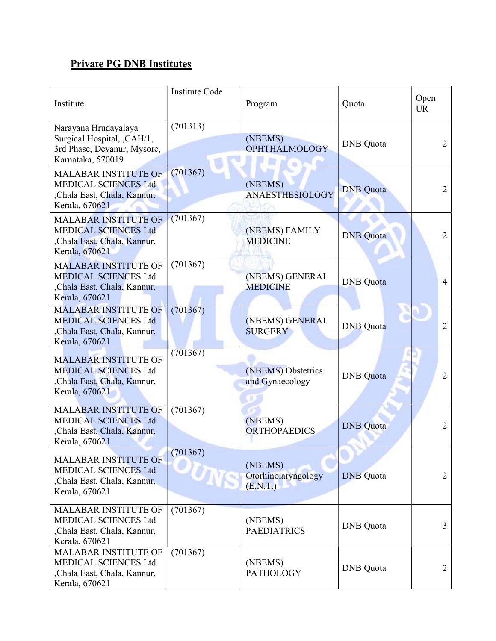### Private PG DNB Institutes

| Institute                                                                                                    | <b>Institute Code</b> | Program                                    | Quota            | Open<br><b>UR</b> |
|--------------------------------------------------------------------------------------------------------------|-----------------------|--------------------------------------------|------------------|-------------------|
| Narayana Hrudayalaya<br>Surgical Hospital, , CAH/1,<br>3rd Phase, Devanur, Mysore,<br>Karnataka, 570019      | (701313)              | (NBEMS)<br><b>OPHTHALMOLOGY</b>            | <b>DNB</b> Quota | 2                 |
| <b>MALABAR INSTITUTE OF</b><br><b>MEDICAL SCIENCES Ltd</b><br>,Chala East, Chala, Kannur,<br>Kerala, 670621  | (701367)              | (NBEMS)<br><b>ANAESTHESIOLOGY</b>          | <b>DNB</b> Quota | $\overline{2}$    |
| <b>MALABAR INSTITUTE OF</b><br><b>MEDICAL SCIENCES Ltd</b><br>,Chala East, Chala, Kannur,<br>Kerala, 670621  | (701367)              | (NBEMS) FAMILY<br><b>MEDICINE</b>          | <b>DNB</b> Quota | $\overline{2}$    |
| <b>MALABAR INSTITUTE OF</b><br><b>MEDICAL SCIENCES Ltd</b><br>, Chala East, Chala, Kannur,<br>Kerala, 670621 | (701367)              | (NBEMS) GENERAL<br><b>MEDICINE</b>         | <b>DNB</b> Quota | $\overline{4}$    |
| <b>MALABAR INSTITUTE OF</b><br><b>MEDICAL SCIENCES Ltd</b><br>, Chala East, Chala, Kannur,<br>Kerala, 670621 | (701367)              | (NBEMS) GENERAL<br><b>SURGERY</b>          | <b>DNB</b> Quota | $\overline{2}$    |
| <b>MALABAR INSTITUTE OF</b><br><b>MEDICAL SCIENCES Ltd</b><br>,Chala East, Chala, Kannur,<br>Kerala, 670621  | (701367)              | (NBEMS) Obstetrics<br>and Gynaecology      | <b>DNB</b> Quota | $\overline{2}$    |
| <b>MALABAR INSTITUTE OF</b><br><b>MEDICAL SCIENCES Ltd</b><br>,Chala East, Chala, Kannur,<br>Kerala, 670621  | (701367)              | (NBEMS)<br><b>ORTHOPAEDICS</b>             | <b>DNB</b> Quota | 2                 |
| <b>MALABAR INSTITUTE OF</b><br>MEDICAL SCIENCES Ltd<br>,Chala East, Chala, Kannur,<br>Kerala, 670621         | (701367)              | (NBEMS)<br>Otorhinolaryngology<br>(E.N.T.) | <b>DNB</b> Quota | $\overline{2}$    |
| MALABAR INSTITUTE OF<br>MEDICAL SCIENCES Ltd<br>,Chala East, Chala, Kannur,<br>Kerala, 670621                | (701367)              | (NBEMS)<br><b>PAEDIATRICS</b>              | <b>DNB</b> Quota | 3                 |
| <b>MALABAR INSTITUTE OF</b><br>MEDICAL SCIENCES Ltd<br>,Chala East, Chala, Kannur,<br>Kerala, 670621         | (701367)              | (NBEMS)<br><b>PATHOLOGY</b>                | <b>DNB</b> Quota | $\overline{2}$    |